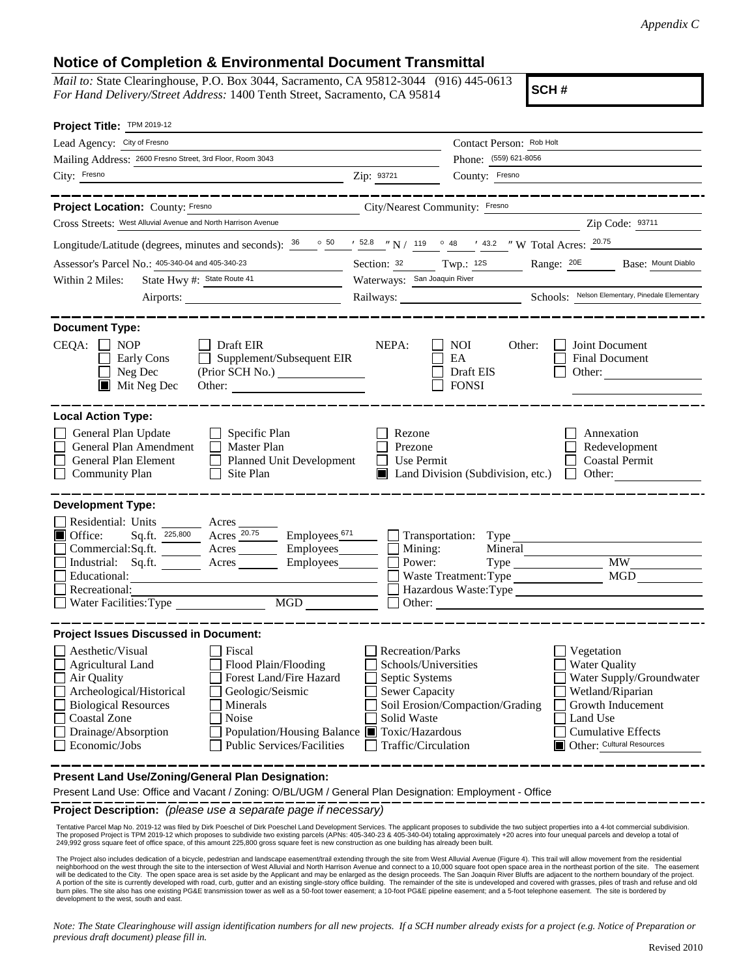*Appendix C*

## **Notice of Completion & Environmental Document Transmittal**

*Mail to:* State Clearinghouse, P.O. Box 3044, Sacramento, CA 95812-3044 (916) 445-0613 *For Hand Delivery/Street Address:* 1400 Tenth Street, Sacramento, CA 95814

**SCH #**

| Project Title: TPM 2019-12                                                                                                                                                                                                                                                                                                                                                |                                                                                                                           |                                                                                                                                                                                                                  |                                                                                                |
|---------------------------------------------------------------------------------------------------------------------------------------------------------------------------------------------------------------------------------------------------------------------------------------------------------------------------------------------------------------------------|---------------------------------------------------------------------------------------------------------------------------|------------------------------------------------------------------------------------------------------------------------------------------------------------------------------------------------------------------|------------------------------------------------------------------------------------------------|
| Lead Agency: City of Fresno                                                                                                                                                                                                                                                                                                                                               |                                                                                                                           | Contact Person: Rob Holt                                                                                                                                                                                         |                                                                                                |
| Mailing Address: 2600 Fresno Street, 3rd Floor, Room 3043                                                                                                                                                                                                                                                                                                                 |                                                                                                                           | Phone: (559) 621-8056                                                                                                                                                                                            |                                                                                                |
| City: Fresno                                                                                                                                                                                                                                                                                                                                                              | Zip: 93721                                                                                                                | County: Fresno                                                                                                                                                                                                   |                                                                                                |
|                                                                                                                                                                                                                                                                                                                                                                           |                                                                                                                           | ------------------                                                                                                                                                                                               |                                                                                                |
| Project Location: County: Fresno<br>City/Nearest Community: Fresno                                                                                                                                                                                                                                                                                                        |                                                                                                                           |                                                                                                                                                                                                                  |                                                                                                |
| Cross Streets: West Alluvial Avenue and North Harrison Avenue                                                                                                                                                                                                                                                                                                             |                                                                                                                           |                                                                                                                                                                                                                  | Zip Code: 93711                                                                                |
| Longitude/Latitude (degrees, minutes and seconds): $\frac{36}{26}$ $\frac{50}{28}$ $\frac{1}{25.8}$ $\frac{1}{25.8}$ N / 119 $\degree$ 48 $\degree$ 43.2 $\degree$ W Total Acres: $\frac{20.75}{20.75}$                                                                                                                                                                   |                                                                                                                           |                                                                                                                                                                                                                  |                                                                                                |
| Assessor's Parcel No.: 405-340-04 and 405-340-23                                                                                                                                                                                                                                                                                                                          | Section: 32 Twp.: 12S                                                                                                     |                                                                                                                                                                                                                  | Base: Mount Diablo                                                                             |
| State Hwy #: State Route 41<br>Within 2 Miles:                                                                                                                                                                                                                                                                                                                            | Waterways: San Joaquin River                                                                                              |                                                                                                                                                                                                                  |                                                                                                |
|                                                                                                                                                                                                                                                                                                                                                                           |                                                                                                                           |                                                                                                                                                                                                                  |                                                                                                |
| <b>Document Type:</b><br>CEQA:<br>$\Box$ NOP<br>Draft EIR<br>Supplement/Subsequent EIR<br>Early Cons<br>$\Box$<br>Neg Dec<br>$\blacksquare$ Mit Neg Dec<br>Other:                                                                                                                                                                                                         | NEPA:                                                                                                                     | <b>NOI</b><br>Other:<br>Joint Document<br>EA<br><b>Final Document</b><br>Draft EIS<br><b>FONSI</b>                                                                                                               | Other:                                                                                         |
| <b>Local Action Type:</b><br>General Plan Update<br>Specific Plan<br>General Plan Amendment<br>Master Plan<br>General Plan Element<br>Planned Unit Development<br><b>Community Plan</b><br>Site Plan                                                                                                                                                                      | Rezone<br>Prezone<br><b>Use Permit</b><br>$\mathsf{L}$                                                                    | Land Division (Subdivision, etc.)<br>$\Box$                                                                                                                                                                      | Annexation<br>Redevelopment<br><b>Coastal Permit</b><br>Other:                                 |
| <b>Development Type:</b>                                                                                                                                                                                                                                                                                                                                                  |                                                                                                                           |                                                                                                                                                                                                                  |                                                                                                |
| Residential: Units<br>$A$ cres $\overline{\phantom{A}}$<br>Acres 20.75<br>Office:<br>Employees $\frac{671}{2}$<br>П<br>Sq.ft. 225,800<br>Acres __________ Employees<br>Commercial: Sq.ft.<br>Industrial: Sq.ft.<br>Acres<br>Employees________<br>Educational:<br>Recreational:<br>MGD<br>Water Facilities: Type                                                           | Mining:<br>Power:<br>Other:                                                                                               | Transportation: Type<br>Mineral<br>Type<br>Waste Treatment: Type<br>Hazardous Waste:Type<br><u> 1980 - Jan Barbara Barbara, maso a sensa de la propia de la propia de la propia de la propia de la propia de</u> | <b>MW</b>                                                                                      |
| <b>Project Issues Discussed in Document:</b>                                                                                                                                                                                                                                                                                                                              |                                                                                                                           |                                                                                                                                                                                                                  |                                                                                                |
| Aesthetic/Visual<br>Fiscal<br>Flood Plain/Flooding<br><b>Agricultural Land</b><br>Forest Land/Fire Hazard<br>Air Quality<br>Archeological/Historical<br>Geologic/Seismic<br><b>Biological Resources</b><br>Minerals<br>Coastal Zone<br>Noise<br>Drainage/Absorption<br>Population/Housing Balance ■ Toxic/Hazardous<br><b>Public Services/Facilities</b><br>Economic/Jobs | <b>Recreation/Parks</b><br>Schools/Universities<br>Septic Systems<br>Sewer Capacity<br>Solid Waste<br>Traffic/Circulation | Vegetation<br><b>Water Quality</b><br>Soil Erosion/Compaction/Grading<br>Land Use<br>Other: Cultural Resources                                                                                                   | Water Supply/Groundwater<br>Wetland/Riparian<br>Growth Inducement<br><b>Cumulative Effects</b> |
| Present Land Use/Zoning/General Plan Designation:<br>Present Land Use: Office and Vacant / Zoning: O/BL/UGM / General Plan Designation: Employment - Office                                                                                                                                                                                                               |                                                                                                                           |                                                                                                                                                                                                                  |                                                                                                |

**Project Description:** *(please use a separate page if necessary)*

Tentative Parcel Map No. 2019-12 was filed by Dirk Poeschel of Dirk Poeschel Land Development Services. The applicant proposes to subdivide the two subject properties into a 4-lot commercial subdivision.<br>The proposed Proje 249,992 gross square feet of office space, of this amount 225,800 gross square feet is new construction as one building has already been built.

The Project also includes dedication of a bicycle, pedestrian and landscape easement/trail extending through the site from West Alluvial Avenue (Figure 4). This trail will allow movement from the residential<br>neighborhood o neighborhood on the west through the site to the intersection of West Alluvial and North Harrison Avenue and connect to a 10,000 square foot open space area in the northeast portion of the site. The easement<br>will be dedica A portion of the site is currently developed with road, curb, gutter and an existing single-story office building. The remainder of the site is undeveloped and covered with grasses, piles of trash and refuse and old burn piles. The site also has one existing PG&E transmission tower as well as a 50-foot tower easement; a 10-foot PG&E pipeline easement; and a 5-foot telephone easement. The site is bordered by development to the west, south and east.

*Note: The State Clearinghouse will assign identification numbers for all new projects. If a SCH number already exists for a project (e.g. Notice of Preparation or previous draft document) please fill in.*